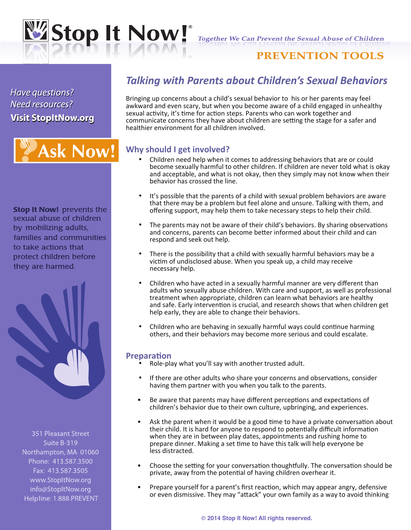

**Together We Can Prevent the Sexual Abuse of Children** 

## **PREVENTION TOOLS**

Have questions? **Need resources? Visit StopItNow.org Visit StopItNow.org**

# **Ask Now!**

**Stop It Now! prevents the** sexual abuse of children by mobilizing adults, families and communities to take actions that protect children before they are harmed.



351 Pleasant Street Suite B-319 Northampton, MA 01060 Phone: 413.587.3500 Fax: 413.587.3505 www.StopItNow.org info@StopItNow.org Helpline: 1.888.PREVENT

# *Talking with Parents about Children's Sexual Behaviors*

Bringing up concerns about a child's sexual behavior to his or her parents may feel awkward and even scary, but when you become aware of a child engaged in unhealthy sexual activity, it's time for action steps. Parents who can work together and communicate concerns they have about children are setting the stage for a safer and healthier environment for all children involved.

## **Why should I get involved?**

- Children need help when it comes to addressing behaviors that are or could become sexually harmful to other children. If children are never told what is okay and acceptable, and what is not okay, then they simply may not know when their behavior has crossed the line.
- It's possible that the parents of a child with sexual problem behaviors are aware that there may be a problem but feel alone and unsure. Talking with them, and offering support, may help them to take necessary steps to help their child.
- The parents may not be aware of their child's behaviors. By sharing observations and concerns, parents can become better informed about their child and can respond and seek out help.
- There is the possibility that a child with sexually harmful behaviors may be a victim of undisclosed abuse. When you speak up, a child may receive necessary help.
- Children who have acted in a sexually harmful manner are very different than adults who sexually abuse children. With care and support, as well as professional treatment when appropriate, children can learn what behaviors are healthy and safe. Early intervention is crucial, and research shows that when children get help early, they are able to change their behaviors.
- Children who are behaving in sexually harmful ways could continue harming others, and their behaviors may become more serious and could escalate.

## **Preparation**

- Role-play what you'll say with another trusted adult.
- If there are other adults who share your concerns and observations, consider having them partner with you when you talk to the parents.
- Be aware that parents may have different perceptions and expectations of children's behavior due to their own culture, upbringing, and experiences.
- Ask the parent when it would be a good time to have a private conversation about their child. It is hard for anyone to respond to potentially difficult information when they are in between play dates, appointments and rushing home to prepare dinner. Making a set time to have this talk will help everyone be less distracted.
- Choose the setting for your conversation thoughtfully. The conversation should be private, away from the potential of having children overhear it.
- Prepare yourself for a parent's first reaction, which may appear angry, defensive or even dismissive. They may "attack" your own family as a way to avoid thinking